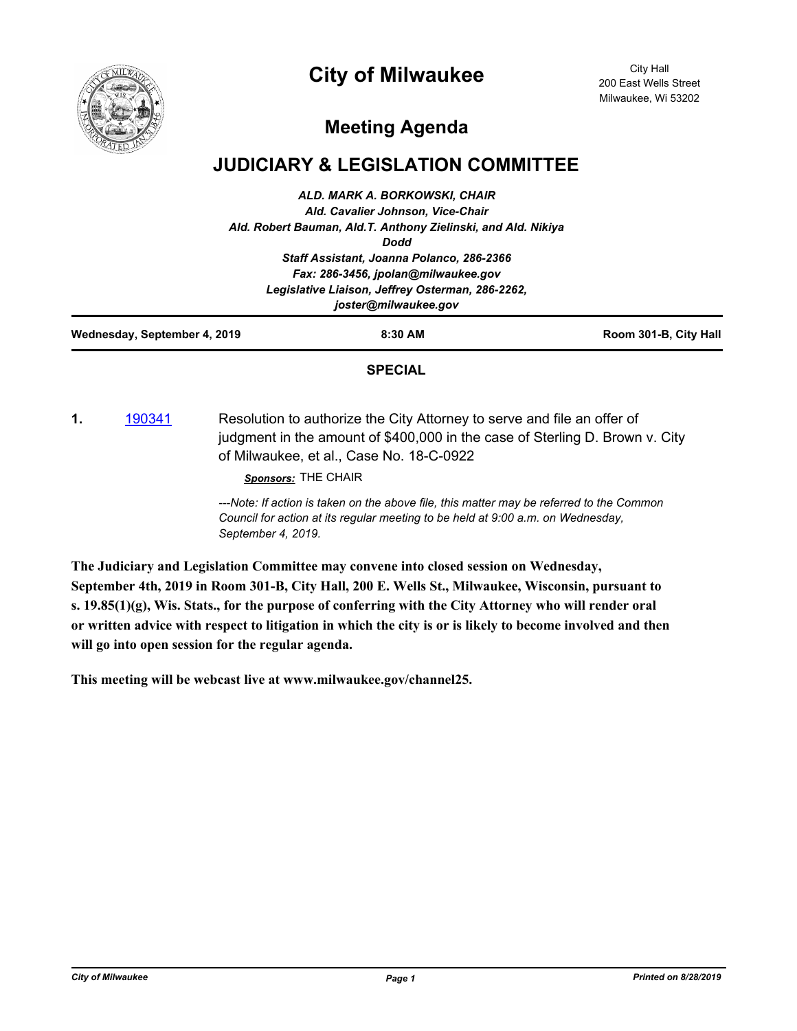



City Hall 200 East Wells Street Milwaukee, Wi 53202

## **Meeting Agenda**

## **JUDICIARY & LEGISLATION COMMITTEE**

|                              | <b>SPECIAL</b>                                                                          |                       |
|------------------------------|-----------------------------------------------------------------------------------------|-----------------------|
| Wednesday, September 4, 2019 | 8:30 AM                                                                                 | Room 301-B, City Hall |
|                              | joster@milwaukee.gov                                                                    |                       |
|                              | Fax: 286-3456, jpolan@milwaukee.gov<br>Legislative Liaison, Jeffrey Osterman, 286-2262, |                       |
|                              |                                                                                         |                       |
|                              | Staff Assistant, Joanna Polanco, 286-2366                                               |                       |
|                              | <b>Dodd</b>                                                                             |                       |
|                              | Ald. Robert Bauman, Ald.T. Anthony Zielinski, and Ald. Nikiya                           |                       |
|                              | Ald. Cavalier Johnson, Vice-Chair                                                       |                       |
|                              | ALD. MARK A. BORKOWSKI, CHAIR                                                           |                       |

**1.** [190341](http://milwaukee.legistar.com/gateway.aspx?m=l&id=/matter.aspx?key=51813) Resolution to authorize the City Attorney to serve and file an offer of judgment in the amount of \$400,000 in the case of Sterling D. Brown v. City of Milwaukee, et al., Case No. 18-C-0922

*Sponsors:* THE CHAIR

*---Note: If action is taken on the above file, this matter may be referred to the Common Council for action at its regular meeting to be held at 9:00 a.m. on Wednesday, September 4, 2019.*

**The Judiciary and Legislation Committee may convene into closed session on Wednesday, September 4th, 2019 in Room 301-B, City Hall, 200 E. Wells St., Milwaukee, Wisconsin, pursuant to s. 19.85(1)(g), Wis. Stats., for the purpose of conferring with the City Attorney who will render oral or written advice with respect to litigation in which the city is or is likely to become involved and then will go into open session for the regular agenda.**

**This meeting will be webcast live at www.milwaukee.gov/channel25.**